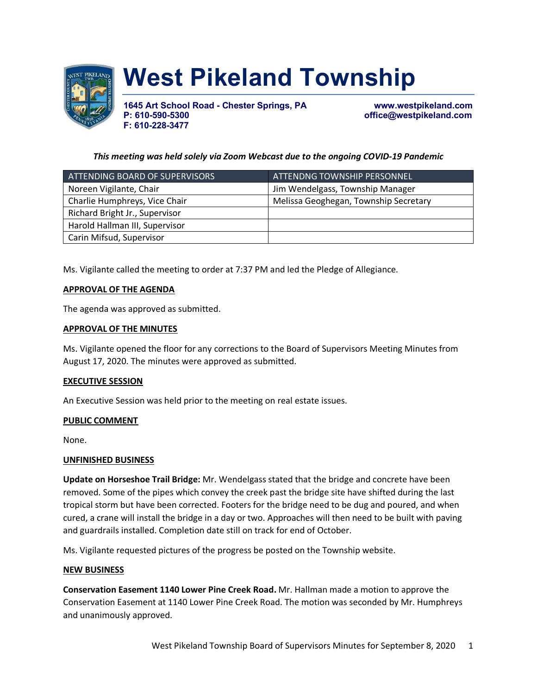

# **West Pikeland Township**

**1645 Art School Road - Chester Springs, PA www.westpikeland.com F: 610-228-3477**

**P: 610-590-5300 office@westpikeland.com**

# *This meeting was held solely via Zoom Webcast due to the ongoing COVID-19 Pandemic*

| ATTENDING BOARD OF SUPERVISORS | ATTENDNG TOWNSHIP PERSONNEL           |
|--------------------------------|---------------------------------------|
| Noreen Vigilante, Chair        | Jim Wendelgass, Township Manager      |
| Charlie Humphreys, Vice Chair  | Melissa Geoghegan, Township Secretary |
| Richard Bright Jr., Supervisor |                                       |
| Harold Hallman III, Supervisor |                                       |
| Carin Mifsud, Supervisor       |                                       |

Ms. Vigilante called the meeting to order at 7:37 PM and led the Pledge of Allegiance.

### **APPROVAL OF THE AGENDA**

The agenda was approved as submitted.

### **APPROVAL OF THE MINUTES**

Ms. Vigilante opened the floor for any corrections to the Board of Supervisors Meeting Minutes from August 17, 2020. The minutes were approved as submitted.

### **EXECUTIVE SESSION**

An Executive Session was held prior to the meeting on real estate issues.

### **PUBLIC COMMENT**

None.

### **UNFINISHED BUSINESS**

**Update on Horseshoe Trail Bridge:** Mr. Wendelgass stated that the bridge and concrete have been removed. Some of the pipes which convey the creek past the bridge site have shifted during the last tropical storm but have been corrected. Footers for the bridge need to be dug and poured, and when cured, a crane will install the bridge in a day or two. Approaches will then need to be built with paving and guardrails installed. Completion date still on track for end of October.

Ms. Vigilante requested pictures of the progress be posted on the Township website.

### **NEW BUSINESS**

**Conservation Easement 1140 Lower Pine Creek Road.** Mr. Hallman made a motion to approve the Conservation Easement at 1140 Lower Pine Creek Road. The motion was seconded by Mr. Humphreys and unanimously approved.